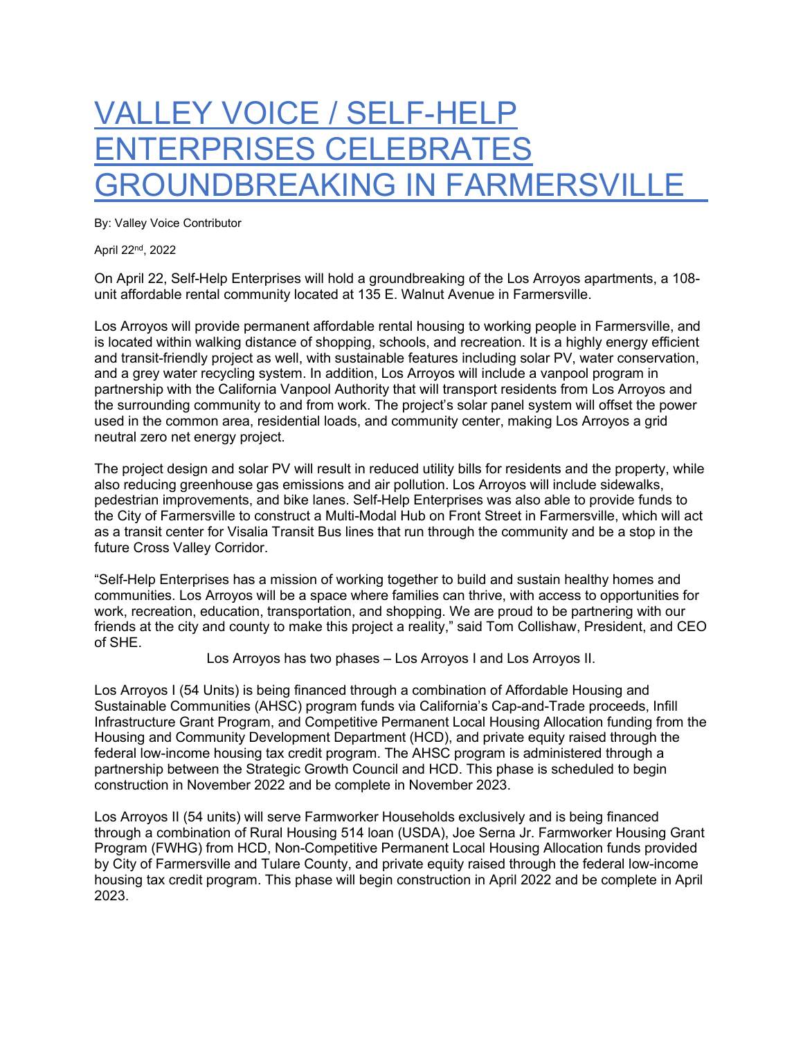## VALLEY VOICE / SELF-HELP ENTERPRISES CELEBRATES GROUNDBREAKING IN FARMERSVILLE

By: Valley Voice Contributor

April 22nd, 2022

On April 22, Self-Help Enterprises will hold a groundbreaking of the Los Arroyos apartments, a 108 unit affordable rental community located at 135 E. Walnut Avenue in Farmersville.

Los Arroyos will provide permanent affordable rental housing to working people in Farmersville, and is located within walking distance of shopping, schools, and recreation. It is a highly energy efficient and transit-friendly project as well, with sustainable features including solar PV, water conservation, and a grey water recycling system. In addition, Los Arroyos will include a vanpool program in partnership with the California Vanpool Authority that will transport residents from Los Arroyos and the surrounding community to and from work. The project's solar panel system will offset the power used in the common area, residential loads, and community center, making Los Arroyos a grid neutral zero net energy project.

The project design and solar PV will result in reduced utility bills for residents and the property, while also reducing greenhouse gas emissions and air pollution. Los Arroyos will include sidewalks, pedestrian improvements, and bike lanes. Self-Help Enterprises was also able to provide funds to the City of Farmersville to construct a Multi-Modal Hub on Front Street in Farmersville, which will act as a transit center for Visalia Transit Bus lines that run through the community and be a stop in the future Cross Valley Corridor.

"Self-Help Enterprises has a mission of working together to build and sustain healthy homes and communities. Los Arroyos will be a space where families can thrive, with access to opportunities for work, recreation, education, transportation, and shopping. We are proud to be partnering with our friends at the city and county to make this project a reality," said Tom Collishaw, President, and CEO of SHE.

Los Arroyos has two phases – Los Arroyos I and Los Arroyos II.

Los Arroyos I (54 Units) is being financed through a combination of Affordable Housing and Sustainable Communities (AHSC) program funds via California's Cap-and-Trade proceeds, Infill Infrastructure Grant Program, and Competitive Permanent Local Housing Allocation funding from the Housing and Community Development Department (HCD), and private equity raised through the federal low-income housing tax credit program. The AHSC program is administered through a partnership between the Strategic Growth Council and HCD. This phase is scheduled to begin construction in November 2022 and be complete in November 2023.

Los Arroyos II (54 units) will serve Farmworker Households exclusively and is being financed through a combination of Rural Housing 514 loan (USDA), Joe Serna Jr. Farmworker Housing Grant Program (FWHG) from HCD, Non-Competitive Permanent Local Housing Allocation funds provided by City of Farmersville and Tulare County, and private equity raised through the federal low-income housing tax credit program. This phase will begin construction in April 2022 and be complete in April 2023.